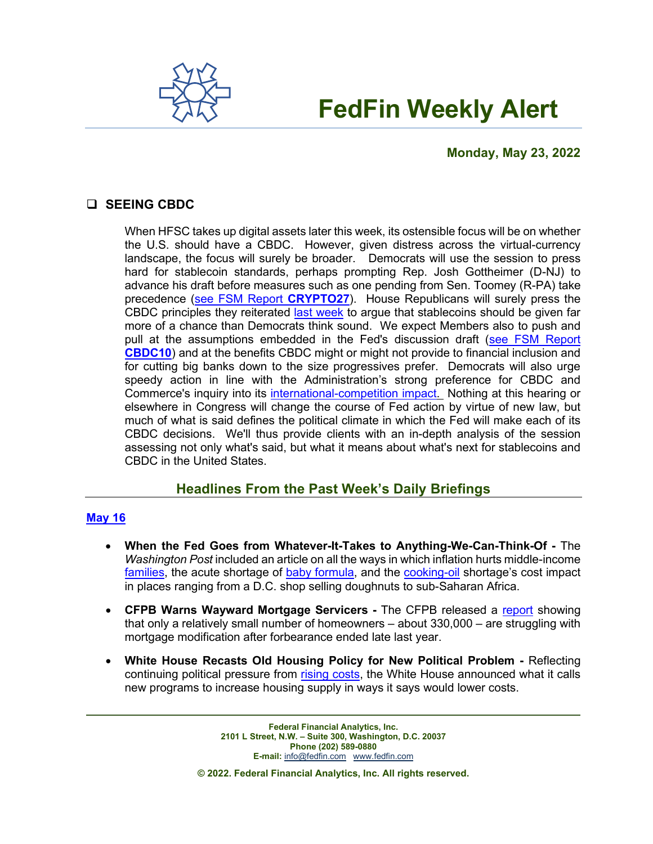

# **FedFin Weekly Alert**

# **Monday, May 23, 2022**

# **SEEING CBDC**

When HFSC takes up digital assets later this week, its ostensible focus will be on whether the U.S. should have a CBDC. However, given distress across the virtual-currency landscape, the focus will surely be broader. Democrats will use the session to press hard for stablecoin standards, perhaps prompting Rep. Josh Gottheimer (D-NJ) to advance his draft before measures such as one pending from Sen. Toomey (R-PA) take precedence [\(see FSM Report](https://fedfin.com/wp-content/uploads/2022/05/CRYPTO27.pdf) **CRYPTO27**). House Republicans will surely press the CBDC principles they reiterated [last week](https://republicans-financialservices.house.gov/news/documentsingle.aspx?DocumentID=408345) to argue that stablecoins should be given far more of a chance than Democrats think sound. We expect Members also to push and pull at the assumptions embedded in the Fed's discussion draft [\(see FSM Report](https://fedfin.com/wp-content/uploads/2022/01/CBDC10.pdf)  **[CBDC10](https://fedfin.com/wp-content/uploads/2022/01/CBDC10.pdf)**) and at the benefits CBDC might or might not provide to financial inclusion and for cutting big banks down to the size progressives prefer. Democrats will also urge speedy action in line with the Administration's strong preference for CBDC and Commerce's inquiry into its [international-competition impact.](https://fedfin.com/wp-content/uploads/2022/05/Daily051922.pdf) Nothing at this hearing or elsewhere in Congress will change the course of Fed action by virtue of new law, but much of what is said defines the political climate in which the Fed will make each of its CBDC decisions. We'll thus provide clients with an in-depth analysis of the session assessing not only what's said, but what it means about what's next for stablecoins and CBDC in the United States.

# **Headlines From the Past Week's Daily Briefings**

### **[May](https://fedfin.com/wp-content/uploads/2022/05/Daily051622.pdf) 16**

- **When the Fed Goes from Whatever-It-Takes to Anything-We-Can-Think-Of -** The *Washington Post* included an article on all the ways in which inflation hurts middle-income [families,](https://fedfin.us14.list-manage.com/track/click?u=27f886fdd4a438ee1dc1f0774&id=175064cc96&e=a1a473830b) the acute shortage of [baby formula,](https://fedfin.us14.list-manage.com/track/click?u=27f886fdd4a438ee1dc1f0774&id=b451e9f79c&e=a1a473830b) and the [cooking-oil](https://fedfin.us14.list-manage.com/track/click?u=27f886fdd4a438ee1dc1f0774&id=fc778a0f18&e=a1a473830b) shortage's cost impact in places ranging from a D.C. shop selling doughnuts to sub-Saharan Africa.
- **CFPB Warns Wayward Mortgage Servicers -** The CFPB released a [report](https://fedfin.us14.list-manage.com/track/click?u=27f886fdd4a438ee1dc1f0774&id=1c43e251d6&e=a1a473830b) showing that only a relatively small number of homeowners – about 330,000 – are struggling with mortgage modification after forbearance ended late last year.
- **White House Recasts Old Housing Policy for New Political Problem -** Reflecting continuing political pressure from [rising costs,](https://fedfin.us14.list-manage.com/track/click?u=27f886fdd4a438ee1dc1f0774&id=ce0161386e&e=a1a473830b) the White House announced what it calls new programs to increase housing supply in ways it says would lower costs.

**Federal Financial Analytics, Inc. 2101 L Street, N.W. – Suite 300, Washington, D.C. 20037 Phone (202) 589-0880 E-mail:** [info@fedfin.com](mailto:info@fedfin.com)[www.fedfin.com](http://www.fedfin.com/)

**© 2022. Federal Financial Analytics, Inc. All rights reserved.**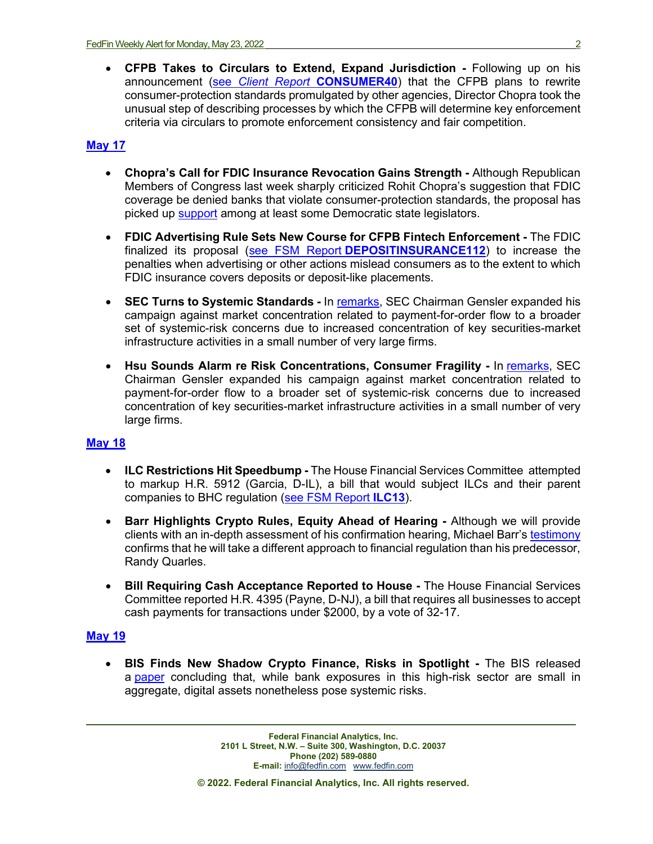• **CFPB Takes to Circulars to Extend, Expand Jurisdiction -** Following up on his announcement (see *Client Report* **[CONSUMER40](https://fedfin.us14.list-manage.com/track/click?u=27f886fdd4a438ee1dc1f0774&id=b98fb15558&e=919e0c9fb0)**) that the CFPB plans to rewrite consumer-protection standards promulgated by other agencies, Director Chopra took the unusual step of describing processes by which the CFPB will determine key enforcement criteria via circulars to promote enforcement consistency and fair competition.

# **[May](https://fedfin.com/wp-content/uploads/2022/05/Daily051722.pdf) 17**

- **Chopra's Call for FDIC Insurance Revocation Gains Strength -** Although Republican Members of Congress last week sharply criticized Rohit Chopra's suggestion that FDIC coverage be denied banks that violate consumer-protection standards, the proposal has picked up [support](https://fedfin.us14.list-manage.com/track/click?u=27f886fdd4a438ee1dc1f0774&id=57d502b874&e=288b5ff9aa) among at least some Democratic state legislators.
- **FDIC Advertising Rule Sets New Course for CFPB Fintech Enforcement -** The FDIC finalized its proposal (see FSM Report **[DEPOSITINSURANCE112](https://fedfin.us14.list-manage.com/track/click?u=27f886fdd4a438ee1dc1f0774&id=34cf5b92a7&e=288b5ff9aa)**) to increase the penalties when advertising or other actions mislead consumers as to the extent to which FDIC insurance covers deposits or deposit-like placements.
- **SEC Turns to Systemic Standards -** In [remarks,](https://fedfin.us14.list-manage.com/track/click?u=27f886fdd4a438ee1dc1f0774&id=273832d3ed&e=288b5ff9aa) SEC Chairman Gensler expanded his campaign against market concentration related to payment-for-order flow to a broader set of systemic-risk concerns due to increased concentration of key securities-market infrastructure activities in a small number of very large firms.
- **Hsu Sounds Alarm re Risk Concentrations, Consumer Fragility -** In [remarks,](https://fedfin.us14.list-manage.com/track/click?u=27f886fdd4a438ee1dc1f0774&id=273832d3ed&e=288b5ff9aa) SEC Chairman Gensler expanded his campaign against market concentration related to payment-for-order flow to a broader set of systemic-risk concerns due to increased concentration of key securities-market infrastructure activities in a small number of very large firms.

### **[May](https://fedfin.com/wp-content/uploads/2022/05/Daily051822.pdf) 18**

- **ILC Restrictions Hit Speedbump -** The House Financial Services Committee attempted to markup H.R. 5912 (Garcia, D-IL), a bill that would subject ILCs and their parent companies to BHC regulation [\(see FSM Report](https://fedfin.us14.list-manage.com/track/click?u=27f886fdd4a438ee1dc1f0774&id=bd88fa1ecb&e=288b5ff9aa) **ILC13**).
- **Barr Highlights Crypto Rules, Equity Ahead of Hearing -** Although we will provide clients with an in-depth assessment of his confirmation hearing, Michael Barr's [testimony](https://www.banking.senate.gov/imo/media/doc/Barr%20Testimony%205-19-22.pdf) confirms that he will take a different approach to financial regulation than his predecessor, Randy Quarles.
- **Bill Requiring Cash Acceptance Reported to House -** The House Financial Services Committee reported H.R. 4395 (Payne, D-NJ), a bill that requires all businesses to accept cash payments for transactions under \$2000, by a vote of 32-17.

## **[May](https://fedfin.com/wp-content/uploads/2022/05/Daily051922.pdf) 19**

• **BIS Finds New Shadow Crypto Finance, Risks in Spotlight -** The BIS released a [paper](https://fedfin.us14.list-manage.com/track/click?u=27f886fdd4a438ee1dc1f0774&id=77c5ed007a&e=288b5ff9aa) concluding that, while bank exposures in this high-risk sector are small in aggregate, digital assets nonetheless pose systemic risks.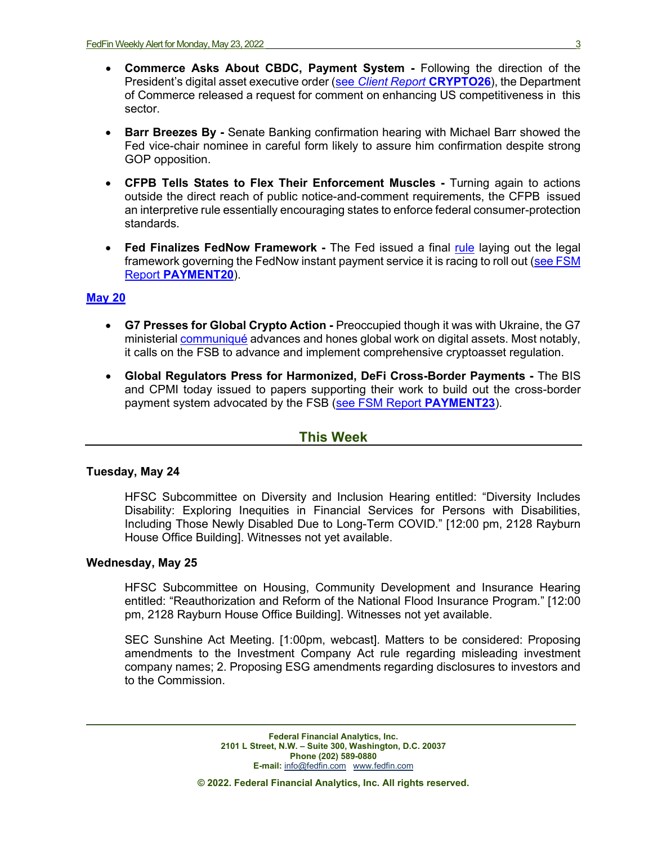- **Commerce Asks About CBDC, Payment System -** Following the direction of the President's digital asset executive order (see *[Client Report](https://fedfin.us14.list-manage.com/track/click?u=27f886fdd4a438ee1dc1f0774&id=c4165b5ace&e=288b5ff9aa)* **CRYPTO26**), the Department of Commerce released a request for comment on enhancing US competitiveness in this sector.
- **Barr Breezes By -** Senate Banking confirmation hearing with Michael Barr showed the Fed vice-chair nominee in careful form likely to assure him confirmation despite strong GOP opposition.
- **CFPB Tells States to Flex Their Enforcement Muscles -** Turning again to actions outside the direct reach of public notice-and-comment requirements, the CFPB issued an interpretive rule essentially encouraging states to enforce federal consumer-protection standards.
- **Fed Finalizes FedNow Framework -** The Fed issued a final [rule](https://www.federalreserve.gov/newsevents/pressreleases/files/other20220519a1.pdf) laying out the legal framework governing the FedNow instant payment service it is racing to roll out [\(see FSM](https://fedfin.com/wp-content/uploads/2020/08/PAYMENT20.pdf)  Report **[PAYMENT20](https://fedfin.com/wp-content/uploads/2020/08/PAYMENT20.pdf)**).

#### **[May 20](https://fedfin.com/wp-content/uploads/2022/05/Daily052022.pdf)**

- **G7 Presses for Global Crypto Action -** Preoccupied though it was with Ukraine, the G7 ministerial [communiqué](https://home.treasury.gov/news/press-releases/jy0797) advances and hones global work on digital assets. Most notably, it calls on the FSB to advance and implement comprehensive cryptoasset regulation.
- **Global Regulators Press for Harmonized, DeFi Cross-Border Payments -** The BIS and CPMI today issued to papers supporting their work to build out the cross-border payment system advocated by the FSB [\(see FSM Report](https://fedfin.com/wp-content/uploads/2021/06/PAYMENT23.pdf) **PAYMENT23**).

### **This Week**

#### **Tuesday, May 24**

HFSC Subcommittee on Diversity and Inclusion Hearing entitled: "Diversity Includes Disability: Exploring Inequities in Financial Services for Persons with Disabilities, Including Those Newly Disabled Due to Long-Term COVID." [12:00 pm, 2128 Rayburn House Office Building]. Witnesses not yet available.

#### **Wednesday, May 25**

HFSC Subcommittee on Housing, Community Development and Insurance Hearing entitled: "Reauthorization and Reform of the National Flood Insurance Program." [12:00 pm, 2128 Rayburn House Office Building]. Witnesses not yet available.

SEC Sunshine Act Meeting. [1:00pm, webcast]. Matters to be considered: Proposing amendments to the Investment Company Act rule regarding misleading investment company names; 2. Proposing ESG amendments regarding disclosures to investors and to the Commission.

> **Federal Financial Analytics, Inc. 2101 L Street, N.W. – Suite 300, Washington, D.C. 20037 Phone (202) 589-0880 E-mail:** [info@fedfin.com](mailto:info@fedfin.com)[www.fedfin.com](http://www.fedfin.com/)

**© 2022. Federal Financial Analytics, Inc. All rights reserved.**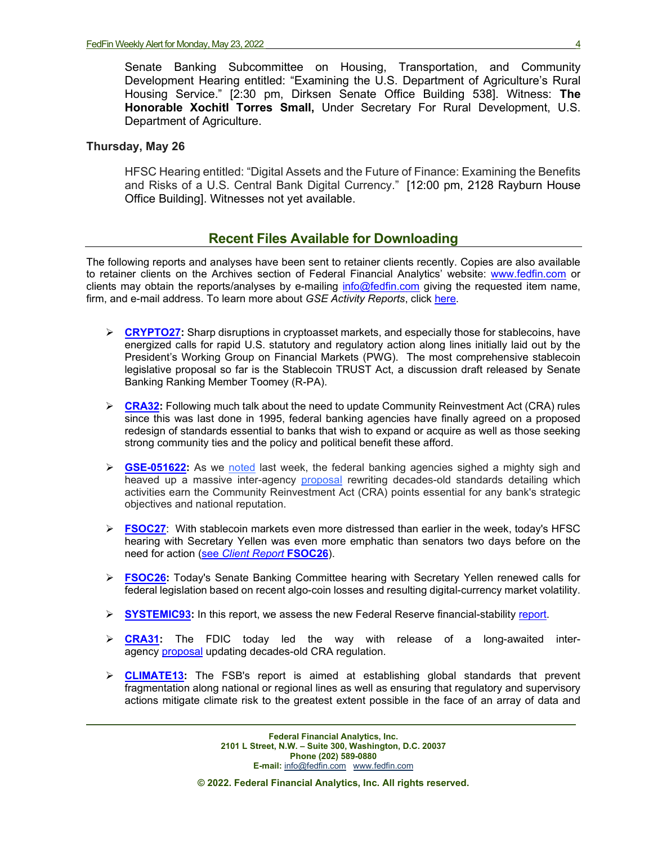Senate Banking Subcommittee on Housing, Transportation, and Community Development Hearing entitled: "Examining the U.S. Department of Agriculture's Rural Housing Service." [2:30 pm, Dirksen Senate Office Building 538]. Witness: **The Honorable Xochitl Torres Small,** Under Secretary For Rural Development, U.S. Department of Agriculture.

#### **Thursday, May 26**

HFSC Hearing entitled: "Digital Assets and the Future of Finance: Examining the Benefits and Risks of a U.S. Central Bank Digital Currency." [12:00 pm, 2128 Rayburn House Office Building]. Witnesses not yet available.

## **Recent Files Available for Downloading**

The following reports and analyses have been sent to retainer clients recently. Copies are also available to retainer clients on the Archives section of Federal Financial Analytics' website: [www.fedfin.com](http://www.fedfin.com/) or clients may obtain the reports/analyses by e-mailing [info@fedfin.com](mailto:info@fedfin.com) giving the requested item name, firm, and e-mail address. To learn more about *GSE Activity Reports*, click [here.](https://fedfin.com/gse-activity-report/)

- **►** [CRYPTO27:](https://fedfin.com/wp-content/uploads/2022/05/CRYPTO27.pdf) Sharp disruptions in cryptoasset markets, and especially those for stablecoins, have energized calls for rapid U.S. statutory and regulatory action along lines initially laid out by the President's Working Group on Financial Markets (PWG). The most comprehensive stablecoin legislative proposal so far is the Stablecoin TRUST Act, a discussion draft released by Senate Banking Ranking Member Toomey (R-PA).
- **ERA32:** Following much talk about the need to update Community Reinvestment Act (CRA) rules since this was last done in 1995, federal banking agencies have finally agreed on a proposed redesign of standards essential to banks that wish to expand or acquire as well as those seeking strong community ties and the policy and political benefit these afford.
- **► [GSE-051622:](https://fedfin.com/wp-content/uploads/2022/05/GSE-051622.pdf)** As we [noted](https://fedfin.us14.list-manage.com/track/click?u=27f886fdd4a438ee1dc1f0774&id=61ababab2e&e=a1a473830b) last week, the federal banking agencies sighed a mighty sigh and heaved up a massive inter-agency [proposal](https://fedfin.us14.list-manage.com/track/click?u=27f886fdd4a438ee1dc1f0774&id=a2fd18f451&e=a1a473830b) rewriting decades-old standards detailing which activities earn the Community Reinvestment Act (CRA) points essential for any bank's strategic objectives and national reputation.
- **[FSOC27](https://fedfin.com/wp-content/uploads/2022/05/FSOC27.pdf)**: With stablecoin markets even more distressed than earlier in the week, today's HFSC hearing with Secretary Yellen was even more emphatic than senators two days before on the need for action (see *[Client Report](https://fedfin.us14.list-manage.com/track/click?u=27f886fdd4a438ee1dc1f0774&id=2db8509c06&e=288b5ff9aa)* **FSOC26**).
- **[FSOC26:](https://fedfin.com/wp-content/uploads/2022/05/FSOC26.pdf)** Today's Senate Banking Committee hearing with Secretary Yellen renewed calls for federal legislation based on recent algo-coin losses and resulting digital-currency market volatility.
- **[SYSTEMIC93:](https://fedfin.com/wp-content/uploads/2022/05/SYSTEMIC93.pdf)** In this report, we assess the new Federal Reserve financial-stability [report.](https://fedfin.us14.list-manage.com/track/click?u=27f886fdd4a438ee1dc1f0774&id=6d32f6db14&e=288b5ff9aa)
- **[CRA31:](https://fedfin.com/wp-content/uploads/2022/05/CRA31.pdf)** The FDIC today led the way with release of a long-awaited interagency [proposal](https://fedfin.us14.list-manage.com/track/click?u=27f886fdd4a438ee1dc1f0774&id=48f2e01422&e=288b5ff9aa) updating decades-old CRA regulation.
- **[CLIMATE13:](https://fedfin.com/wp-content/uploads/2022/05/CLIMATE13.pdf)** The FSB's report is aimed at establishing global standards that prevent fragmentation along national or regional lines as well as ensuring that regulatory and supervisory actions mitigate climate risk to the greatest extent possible in the face of an array of data and